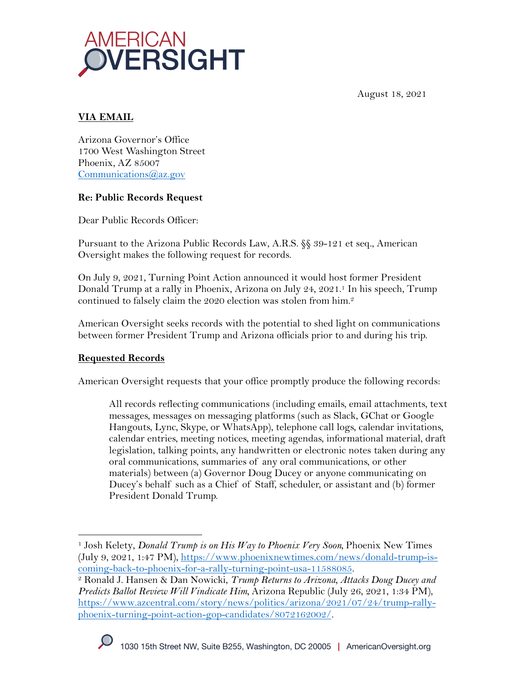

August 18, 2021

# **VIA EMAIL**

Arizona Governor's Office 1700 West Washington Street Phoenix, AZ 85007 Communications@az.gov

#### **Re: Public Records Request**

Dear Public Records Officer:

Pursuant to the Arizona Public Records Law, A.R.S. §§ 39-121 et seq., American Oversight makes the following request for records.

On July 9, 2021, Turning Point Action announced it would host former President Donald Trump at a rally in Phoenix, Arizona on July 24, 2021.1 In his speech, Trump continued to falsely claim the 2020 election was stolen from him.2

American Oversight seeks records with the potential to shed light on communications between former President Trump and Arizona officials prior to and during his trip.

### **Requested Records**

American Oversight requests that your office promptly produce the following records:

All records reflecting communications (including emails, email attachments, text messages, messages on messaging platforms (such as Slack, GChat or Google Hangouts, Lync, Skype, or WhatsApp), telephone call logs, calendar invitations, calendar entries, meeting notices, meeting agendas, informational material, draft legislation, talking points, any handwritten or electronic notes taken during any oral communications, summaries of any oral communications, or other materials) between (a) Governor Doug Ducey or anyone communicating on Ducey's behalf such as a Chief of Staff, scheduler, or assistant and (b) former President Donald Trump.



<sup>1</sup> Josh Kelety, *Donald Trump is on His Way to Phoenix Very Soon,* Phoenix New Times (July 9, 2021, 1:47 PM), https://www.phoenixnewtimes.com/news/donald-trump-is-

coming-back-to-phoenix-for-a-rally-turning-point-usa-11588085. 2 Ronald J. Hansen & Dan Nowicki, *Trump Returns to Arizona, Attacks Doug Ducey and Predicts Ballot Review Will Vindicate Him,* Arizona Republic (July 26, 2021, 1:34 PM), https://www.azcentral.com/story/news/politics/arizona/2021/07/24/trump-rallyphoenix-turning-point-action-gop-candidates/8072162002/.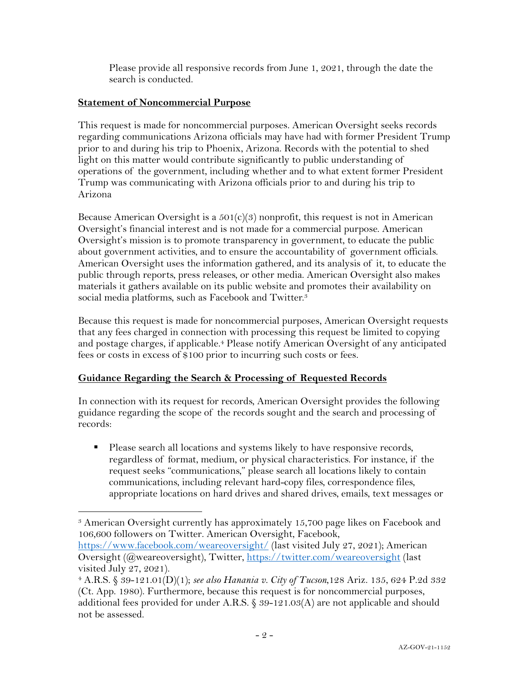Please provide all responsive records from June 1, 2021, through the date the search is conducted.

## **Statement of Noncommercial Purpose**

This request is made for noncommercial purposes. American Oversight seeks records regarding communications Arizona officials may have had with former President Trump prior to and during his trip to Phoenix, Arizona. Records with the potential to shed light on this matter would contribute significantly to public understanding of operations of the government, including whether and to what extent former President Trump was communicating with Arizona officials prior to and during his trip to Arizona

Because American Oversight is a  $501(c)(3)$  nonprofit, this request is not in American Oversight's financial interest and is not made for a commercial purpose. American Oversight's mission is to promote transparency in government, to educate the public about government activities, and to ensure the accountability of government officials. American Oversight uses the information gathered, and its analysis of it, to educate the public through reports, press releases, or other media. American Oversight also makes materials it gathers available on its public website and promotes their availability on social media platforms, such as Facebook and Twitter.<sup>3</sup>

Because this request is made for noncommercial purposes, American Oversight requests that any fees charged in connection with processing this request be limited to copying and postage charges, if applicable.<sup>4</sup> Please notify American Oversight of any anticipated fees or costs in excess of \$100 prior to incurring such costs or fees.

# **Guidance Regarding the Search & Processing of Requested Records**

In connection with its request for records, American Oversight provides the following guidance regarding the scope of the records sought and the search and processing of records:

§ Please search all locations and systems likely to have responsive records, regardless of format, medium, or physical characteristics. For instance, if the request seeks "communications," please search all locations likely to contain communications, including relevant hard-copy files, correspondence files, appropriate locations on hard drives and shared drives, emails, text messages or

https://www.facebook.com/weareoversight/ (last visited July 27, 2021); American Oversight (@weareoversight), Twitter, https://twitter.com/weareoversight (last visited July 27, 2021).

<sup>3</sup> American Oversight currently has approximately 15,700 page likes on Facebook and 106,600 followers on Twitter. American Oversight, Facebook,

<sup>4</sup> A.R.S. § 39-121.01(D)(1); *see also Hanania v. City of Tucson*,128 Ariz. 135, 624 P.2d 332 (Ct. App. 1980). Furthermore, because this request is for noncommercial purposes, additional fees provided for under A.R.S. § 39-121.03(A) are not applicable and should not be assessed.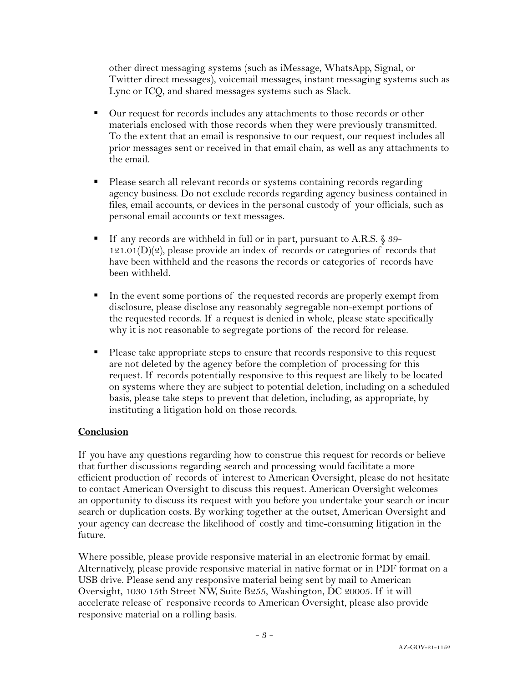other direct messaging systems (such as iMessage, WhatsApp, Signal, or Twitter direct messages), voicemail messages, instant messaging systems such as Lync or ICQ, and shared messages systems such as Slack.

- Our request for records includes any attachments to those records or other materials enclosed with those records when they were previously transmitted. To the extent that an email is responsive to our request, our request includes all prior messages sent or received in that email chain, as well as any attachments to the email.
- Please search all relevant records or systems containing records regarding agency business. Do not exclude records regarding agency business contained in files, email accounts, or devices in the personal custody of your officials, such as personal email accounts or text messages.
- If any records are withheld in full or in part, pursuant to A.R.S. § 39-121.01(D)(2), please provide an index of records or categories of records that have been withheld and the reasons the records or categories of records have been withheld.
- In the event some portions of the requested records are properly exempt from disclosure, please disclose any reasonably segregable non-exempt portions of the requested records. If a request is denied in whole, please state specifically why it is not reasonable to segregate portions of the record for release.
- Please take appropriate steps to ensure that records responsive to this request are not deleted by the agency before the completion of processing for this request. If records potentially responsive to this request are likely to be located on systems where they are subject to potential deletion, including on a scheduled basis, please take steps to prevent that deletion, including, as appropriate, by instituting a litigation hold on those records.

### **Conclusion**

If you have any questions regarding how to construe this request for records or believe that further discussions regarding search and processing would facilitate a more efficient production of records of interest to American Oversight, please do not hesitate to contact American Oversight to discuss this request. American Oversight welcomes an opportunity to discuss its request with you before you undertake your search or incur search or duplication costs. By working together at the outset, American Oversight and your agency can decrease the likelihood of costly and time-consuming litigation in the future.

Where possible, please provide responsive material in an electronic format by email. Alternatively, please provide responsive material in native format or in PDF format on a USB drive. Please send any responsive material being sent by mail to American Oversight, 1030 15th Street NW, Suite B255, Washington, DC 20005. If it will accelerate release of responsive records to American Oversight, please also provide responsive material on a rolling basis.